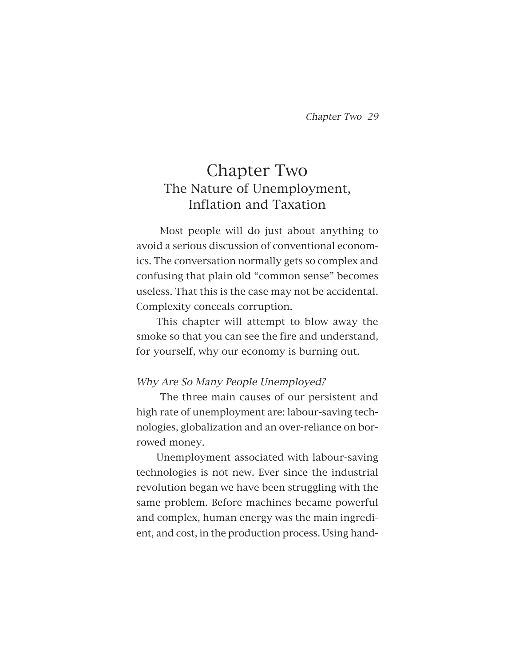# Chapter Two The Nature of Unemployment, Inflation and Taxation

Most people will do just about anything to avoid a serious discussion of conventional economics. The conversation normally gets so complex and confusing that plain old "common sense" becomes useless. That this is the case may not be accidental. Complexity conceals corruption.

This chapter will attempt to blow away the smoke so that you can see the fire and understand, for yourself, why our economy is burning out.

# Why Are So Many People Unemployed?

The three main causes of our persistent and high rate of unemployment are: labour-saving technologies, globalization and an over-reliance on borrowed money.

Unemployment associated with labour-saving technologies is not new. Ever since the industrial revolution began we have been struggling with the same problem. Before machines became powerful and complex, human energy was the main ingredient, and cost, in the production process. Using hand-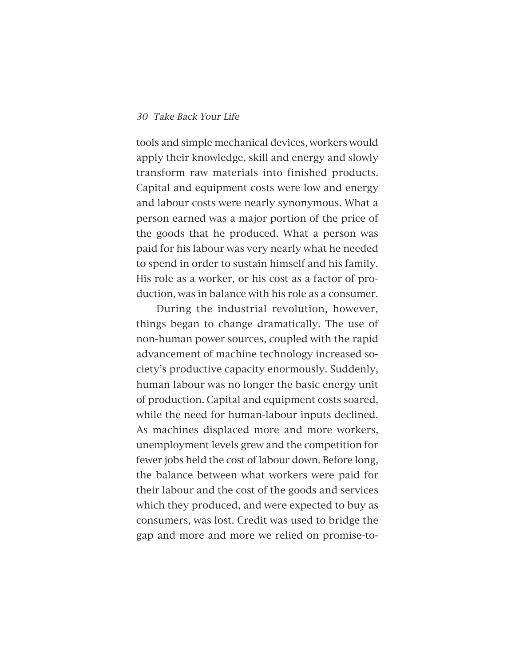tools and simple mechanical devices, workers would apply their knowledge, skill and energy and slowly transform raw materials into finished products. Capital and equipment costs were low and energy and labour costs were nearly synonymous. What a person earned was a major portion of the price of the goods that he produced. What a person was paid for his labour was very nearly what he needed to spend in order to sustain himself and his family. His role as a worker, or his cost as a factor of production, was in balance with his role as a consumer.

During the industrial revolution, however, things began to change dramatically. The use of non-human power sources, coupled with the rapid advancement of machine technology increased society's productive capacity enormously. Suddenly, human labour was no longer the basic energy unit of production. Capital and equipment costs soared, while the need for human-labour inputs declined. As machines displaced more and more workers, unemployment levels grew and the competition for fewer jobs held the cost of labour down. Before long, the balance between what workers were paid for their labour and the cost of the goods and services which they produced, and were expected to buy as consumers, was lost. Credit was used to bridge the gap and more and more we relied on promise-to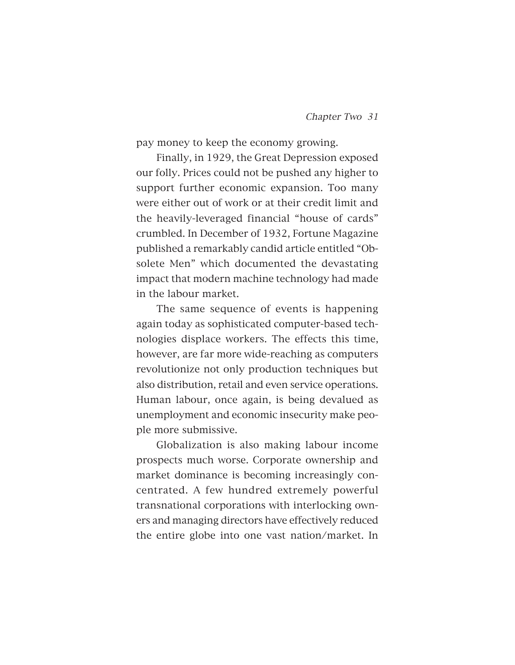pay money to keep the economy growing.

Finally, in 1929, the Great Depression exposed our folly. Prices could not be pushed any higher to support further economic expansion. Too many were either out of work or at their credit limit and the heavily-leveraged financial "house of cards" crumbled. In December of 1932, Fortune Magazine published a remarkably candid article entitled "Obsolete Men" which documented the devastating impact that modern machine technology had made in the labour market.

The same sequence of events is happening again today as sophisticated computer-based technologies displace workers. The effects this time, however, are far more wide-reaching as computers revolutionize not only production techniques but also distribution, retail and even service operations. Human labour, once again, is being devalued as unemployment and economic insecurity make people more submissive.

Globalization is also making labour income prospects much worse. Corporate ownership and market dominance is becoming increasingly concentrated. A few hundred extremely powerful transnational corporations with interlocking owners and managing directors have effectively reduced the entire globe into one vast nation/market. In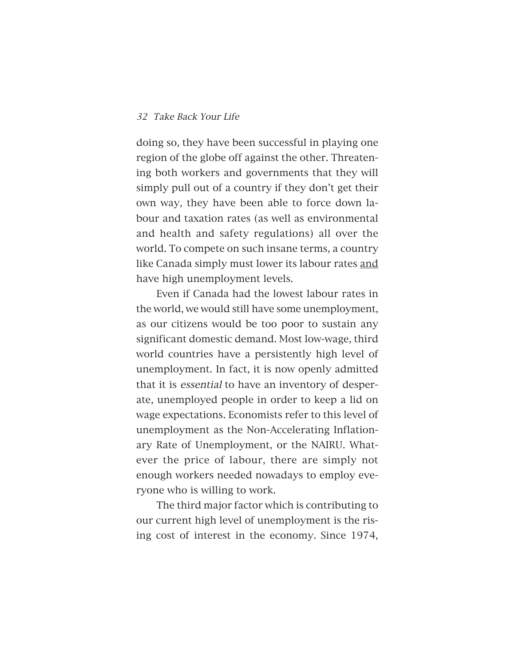doing so, they have been successful in playing one region of the globe off against the other. Threatening both workers and governments that they will simply pull out of a country if they don't get their own way, they have been able to force down labour and taxation rates (as well as environmental and health and safety regulations) all over the world. To compete on such insane terms, a country like Canada simply must lower its labour rates and have high unemployment levels.

Even if Canada had the lowest labour rates in the world, we would still have some unemployment, as our citizens would be too poor to sustain any significant domestic demand. Most low-wage, third world countries have a persistently high level of unemployment. In fact, it is now openly admitted that it is essential to have an inventory of desperate, unemployed people in order to keep a lid on wage expectations. Economists refer to this level of unemployment as the Non-Accelerating Inflationary Rate of Unemployment, or the NAIRU. Whatever the price of labour, there are simply not enough workers needed nowadays to employ everyone who is willing to work.

The third major factor which is contributing to our current high level of unemployment is the rising cost of interest in the economy. Since 1974,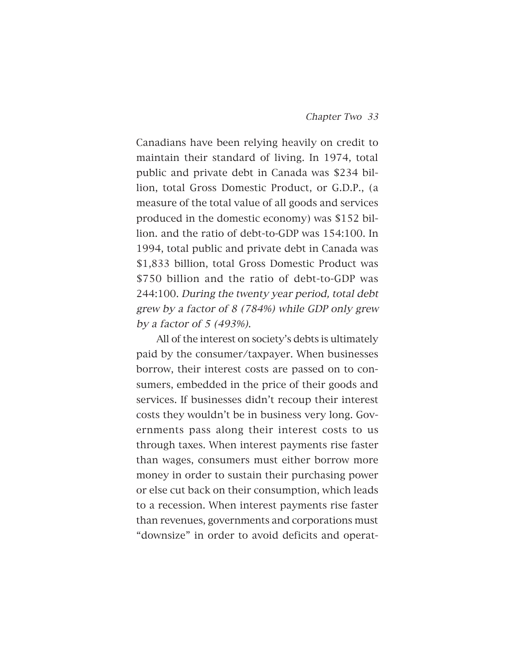Canadians have been relying heavily on credit to maintain their standard of living. In 1974, total public and private debt in Canada was \$234 billion, total Gross Domestic Product, or G.D.P., (a measure of the total value of all goods and services produced in the domestic economy) was \$152 billion. and the ratio of debt-to-GDP was 154:100. In 1994, total public and private debt in Canada was \$1,833 billion, total Gross Domestic Product was \$750 billion and the ratio of debt-to-GDP was 244:100. During the twenty year period, total debt grew by a factor of 8 (784%) while GDP only grew by a factor of 5 (493%).

All of the interest on society's debts is ultimately paid by the consumer/taxpayer. When businesses borrow, their interest costs are passed on to consumers, embedded in the price of their goods and services. If businesses didn't recoup their interest costs they wouldn't be in business very long. Governments pass along their interest costs to us through taxes. When interest payments rise faster than wages, consumers must either borrow more money in order to sustain their purchasing power or else cut back on their consumption, which leads to a recession. When interest payments rise faster than revenues, governments and corporations must "downsize" in order to avoid deficits and operat-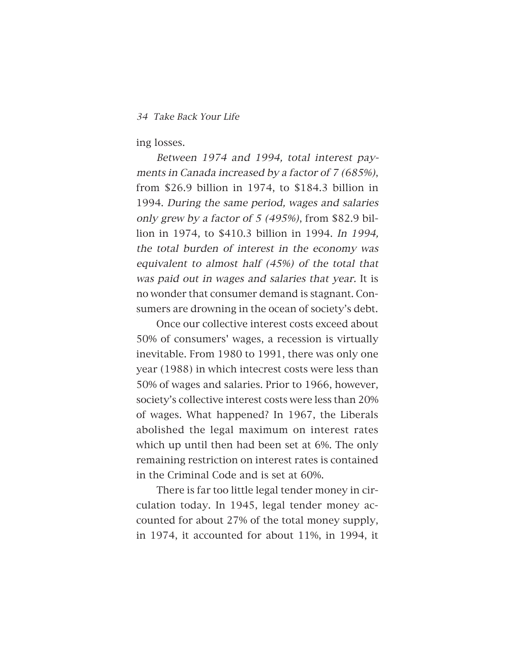ing losses.

Between 1974 and 1994, total interest payments in Canada increased by a factor of 7 (685%), from \$26.9 billion in 1974, to \$184.3 billion in 1994. During the same period, wages and salaries only grew by a factor of 5 (495%), from \$82.9 billion in 1974, to \$410.3 billion in 1994. In 1994, the total burden of interest in the economy was equivalent to almost half (45%) of the total that was paid out in wages and salaries that year. It is no wonder that consumer demand is stagnant. Consumers are drowning in the ocean of society's debt.

Once our collective interest costs exceed about 50% of consumers' wages, a recession is virtually inevitable. From 1980 to 1991, there was only one year (1988) in which intecrest costs were less than 50% of wages and salaries. Prior to 1966, however, society's collective interest costs were less than 20% of wages. What happened? In 1967, the Liberals abolished the legal maximum on interest rates which up until then had been set at 6%. The only remaining restriction on interest rates is contained in the Criminal Code and is set at 60%.

There is far too little legal tender money in circulation today. In 1945, legal tender money accounted for about 27% of the total money supply, in 1974, it accounted for about 11%, in 1994, it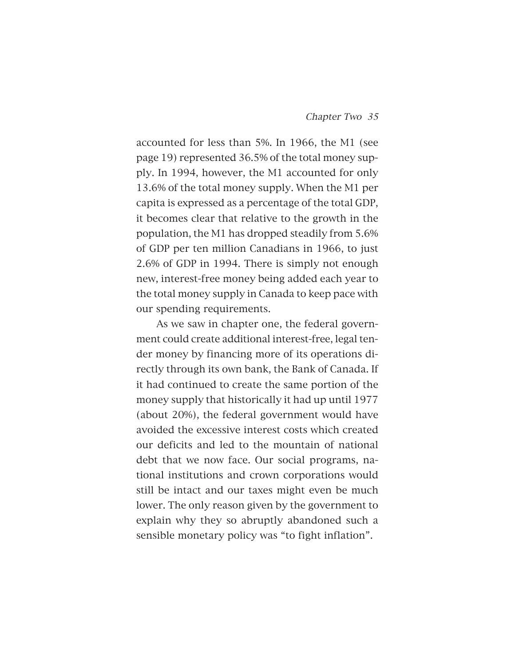accounted for less than 5%. In 1966, the M1 (see page 19) represented 36.5% of the total money supply. In 1994, however, the M1 accounted for only 13.6% of the total money supply. When the M1 per capita is expressed as a percentage of the total GDP, it becomes clear that relative to the growth in the population, the M1 has dropped steadily from 5.6% of GDP per ten million Canadians in 1966, to just 2.6% of GDP in 1994. There is simply not enough new, interest-free money being added each year to the total money supply in Canada to keep pace with our spending requirements.

As we saw in chapter one, the federal government could create additional interest-free, legal tender money by financing more of its operations directly through its own bank, the Bank of Canada. If it had continued to create the same portion of the money supply that historically it had up until 1977 (about 20%), the federal government would have avoided the excessive interest costs which created our deficits and led to the mountain of national debt that we now face. Our social programs, national institutions and crown corporations would still be intact and our taxes might even be much lower. The only reason given by the government to explain why they so abruptly abandoned such a sensible monetary policy was "to fight inflation".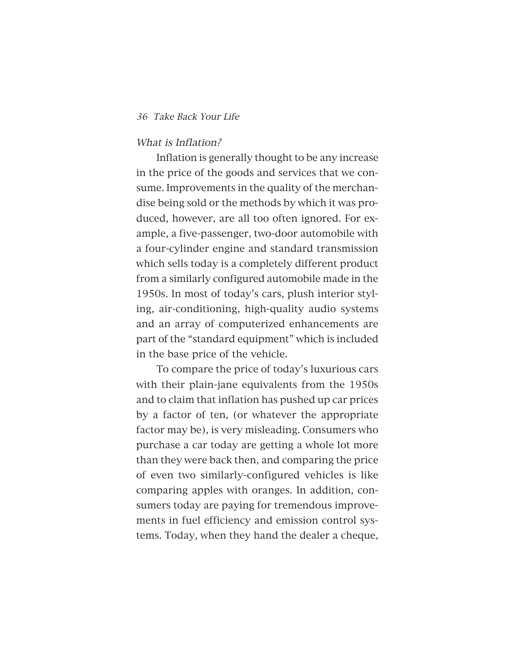#### What is Inflation?

Inflation is generally thought to be any increase in the price of the goods and services that we consume. Improvements in the quality of the merchandise being sold or the methods by which it was produced, however, are all too often ignored. For example, a five-passenger, two-door automobile with a four-cylinder engine and standard transmission which sells today is a completely different product from a similarly configured automobile made in the 1950s. In most of today's cars, plush interior styling, air-conditioning, high-quality audio systems and an array of computerized enhancements are part of the "standard equipment" which is included in the base price of the vehicle.

To compare the price of today's luxurious cars with their plain-jane equivalents from the 1950s and to claim that inflation has pushed up car prices by a factor of ten, (or whatever the appropriate factor may be), is very misleading. Consumers who purchase a car today are getting a whole lot more than they were back then, and comparing the price of even two similarly-configured vehicles is like comparing apples with oranges. In addition, consumers today are paying for tremendous improvements in fuel efficiency and emission control systems. Today, when they hand the dealer a cheque,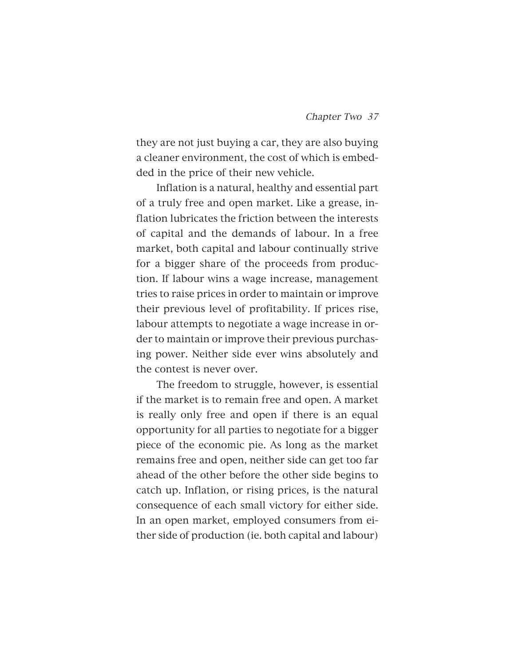they are not just buying a car, they are also buying a cleaner environment, the cost of which is embedded in the price of their new vehicle.

Inflation is a natural, healthy and essential part of a truly free and open market. Like a grease, inflation lubricates the friction between the interests of capital and the demands of labour. In a free market, both capital and labour continually strive for a bigger share of the proceeds from production. If labour wins a wage increase, management tries to raise prices in order to maintain or improve their previous level of profitability. If prices rise, labour attempts to negotiate a wage increase in order to maintain or improve their previous purchasing power. Neither side ever wins absolutely and the contest is never over.

The freedom to struggle, however, is essential if the market is to remain free and open. A market is really only free and open if there is an equal opportunity for all parties to negotiate for a bigger piece of the economic pie. As long as the market remains free and open, neither side can get too far ahead of the other before the other side begins to catch up. Inflation, or rising prices, is the natural consequence of each small victory for either side. In an open market, employed consumers from either side of production (ie. both capital and labour)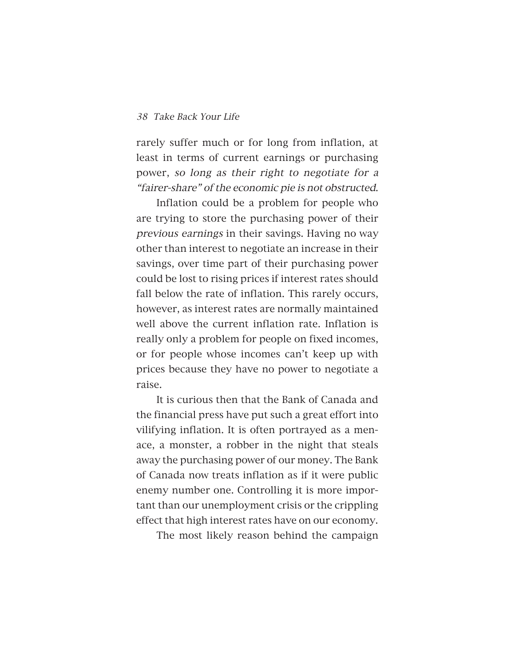rarely suffer much or for long from inflation, at least in terms of current earnings or purchasing power, so long as their right to negotiate for a "fairer-share" of the economic pie is not obstructed.

Inflation could be a problem for people who are trying to store the purchasing power of their previous earnings in their savings. Having no way other than interest to negotiate an increase in their savings, over time part of their purchasing power could be lost to rising prices if interest rates should fall below the rate of inflation. This rarely occurs, however, as interest rates are normally maintained well above the current inflation rate. Inflation is really only a problem for people on fixed incomes, or for people whose incomes can't keep up with prices because they have no power to negotiate a raise.

It is curious then that the Bank of Canada and the financial press have put such a great effort into vilifying inflation. It is often portrayed as a menace, a monster, a robber in the night that steals away the purchasing power of our money. The Bank of Canada now treats inflation as if it were public enemy number one. Controlling it is more important than our unemployment crisis or the crippling effect that high interest rates have on our economy.

The most likely reason behind the campaign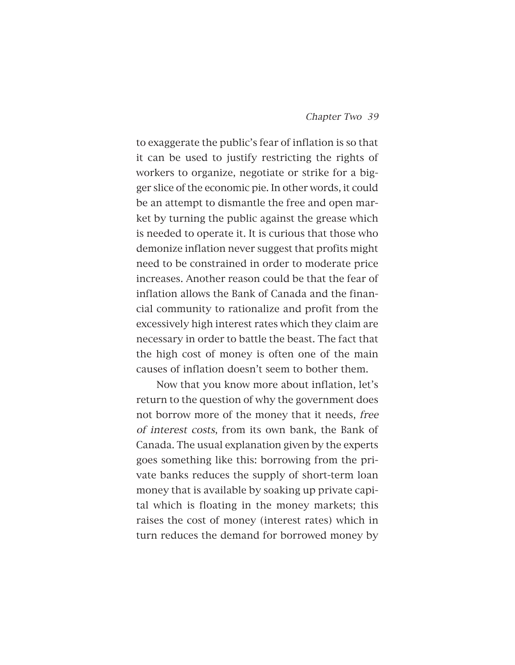to exaggerate the public's fear of inflation is so that it can be used to justify restricting the rights of workers to organize, negotiate or strike for a bigger slice of the economic pie. In other words, it could be an attempt to dismantle the free and open market by turning the public against the grease which is needed to operate it. It is curious that those who demonize inflation never suggest that profits might need to be constrained in order to moderate price increases. Another reason could be that the fear of inflation allows the Bank of Canada and the financial community to rationalize and profit from the excessively high interest rates which they claim are necessary in order to battle the beast. The fact that the high cost of money is often one of the main causes of inflation doesn't seem to bother them.

Now that you know more about inflation, let's return to the question of why the government does not borrow more of the money that it needs, free of interest costs, from its own bank, the Bank of Canada. The usual explanation given by the experts goes something like this: borrowing from the private banks reduces the supply of short-term loan money that is available by soaking up private capital which is floating in the money markets; this raises the cost of money (interest rates) which in turn reduces the demand for borrowed money by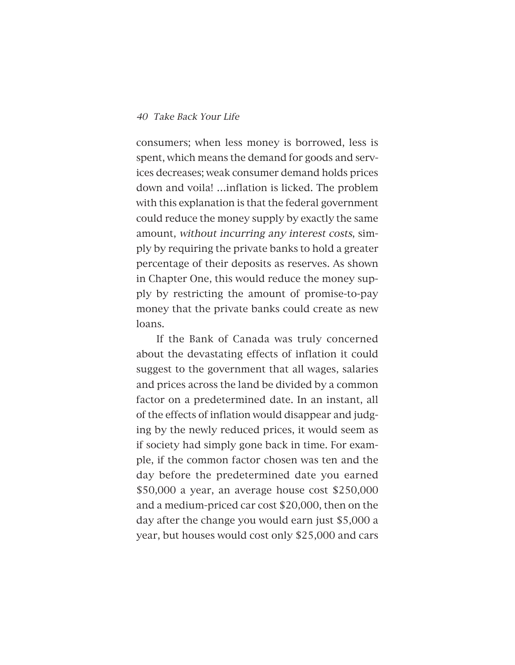consumers; when less money is borrowed, less is spent, which means the demand for goods and services decreases; weak consumer demand holds prices down and voila! …inflation is licked. The problem with this explanation is that the federal government could reduce the money supply by exactly the same amount, without incurring any interest costs, simply by requiring the private banks to hold a greater percentage of their deposits as reserves. As shown in Chapter One, this would reduce the money supply by restricting the amount of promise-to-pay money that the private banks could create as new loans.

If the Bank of Canada was truly concerned about the devastating effects of inflation it could suggest to the government that all wages, salaries and prices across the land be divided by a common factor on a predetermined date. In an instant, all of the effects of inflation would disappear and judging by the newly reduced prices, it would seem as if society had simply gone back in time. For example, if the common factor chosen was ten and the day before the predetermined date you earned \$50,000 a year, an average house cost \$250,000 and a medium-priced car cost \$20,000, then on the day after the change you would earn just \$5,000 a year, but houses would cost only \$25,000 and cars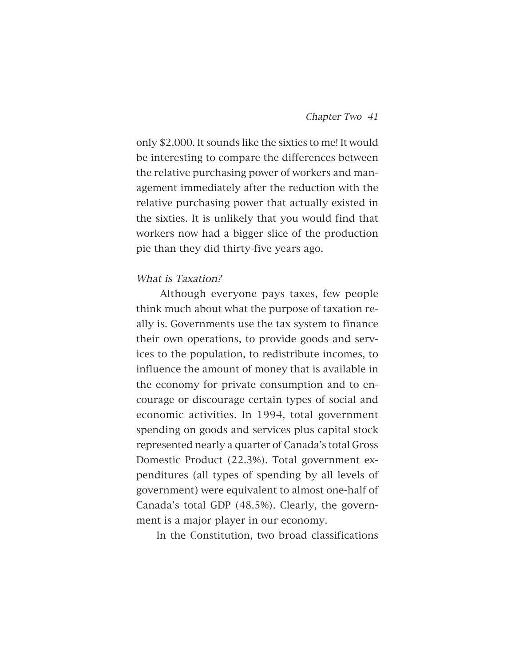only \$2,000. It sounds like the sixties to me! It would be interesting to compare the differences between the relative purchasing power of workers and management immediately after the reduction with the relative purchasing power that actually existed in the sixties. It is unlikely that you would find that workers now had a bigger slice of the production pie than they did thirty-five years ago.

# What is Taxation?

Although everyone pays taxes, few people think much about what the purpose of taxation really is. Governments use the tax system to finance their own operations, to provide goods and services to the population, to redistribute incomes, to influence the amount of money that is available in the economy for private consumption and to encourage or discourage certain types of social and economic activities. In 1994, total government spending on goods and services plus capital stock represented nearly a quarter of Canada's total Gross Domestic Product (22.3%). Total government expenditures (all types of spending by all levels of government) were equivalent to almost one-half of Canada's total GDP (48.5%). Clearly, the government is a major player in our economy.

In the Constitution, two broad classifications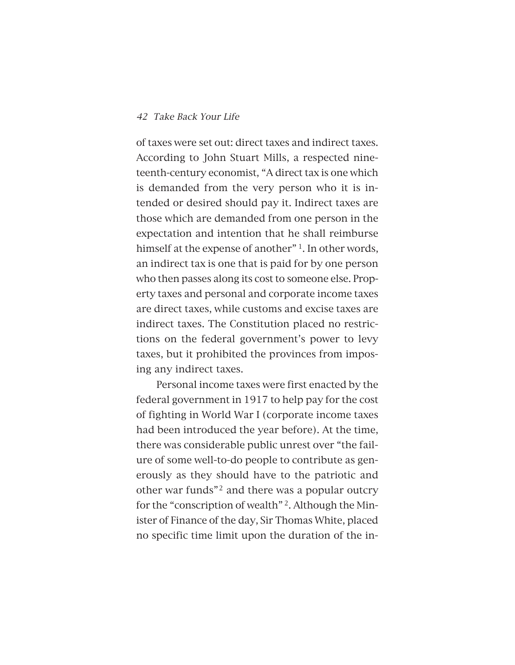of taxes were set out: direct taxes and indirect taxes. According to John Stuart Mills, a respected nineteenth-century economist, "A direct tax is one which is demanded from the very person who it is intended or desired should pay it. Indirect taxes are those which are demanded from one person in the expectation and intention that he shall reimburse himself at the expense of another"<sup>1</sup>. In other words, an indirect tax is one that is paid for by one person who then passes along its cost to someone else. Property taxes and personal and corporate income taxes are direct taxes, while customs and excise taxes are indirect taxes. The Constitution placed no restrictions on the federal government's power to levy taxes, but it prohibited the provinces from imposing any indirect taxes.

Personal income taxes were first enacted by the federal government in 1917 to help pay for the cost of fighting in World War I (corporate income taxes had been introduced the year before). At the time, there was considerable public unrest over "the failure of some well-to-do people to contribute as generously as they should have to the patriotic and other war funds"<sup>2</sup> and there was a popular outcry for the "conscription of wealth" 2. Although the Minister of Finance of the day, Sir Thomas White, placed no specific time limit upon the duration of the in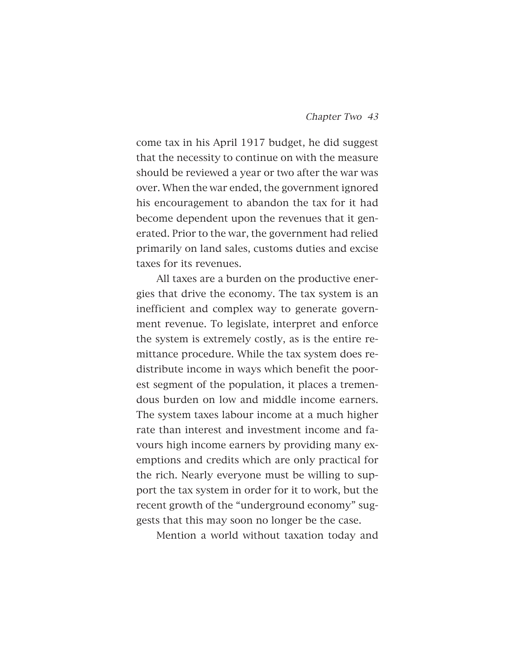come tax in his April 1917 budget, he did suggest that the necessity to continue on with the measure should be reviewed a year or two after the war was over. When the war ended, the government ignored his encouragement to abandon the tax for it had become dependent upon the revenues that it generated. Prior to the war, the government had relied primarily on land sales, customs duties and excise taxes for its revenues.

All taxes are a burden on the productive energies that drive the economy. The tax system is an inefficient and complex way to generate government revenue. To legislate, interpret and enforce the system is extremely costly, as is the entire remittance procedure. While the tax system does redistribute income in ways which benefit the poorest segment of the population, it places a tremendous burden on low and middle income earners. The system taxes labour income at a much higher rate than interest and investment income and favours high income earners by providing many exemptions and credits which are only practical for the rich. Nearly everyone must be willing to support the tax system in order for it to work, but the recent growth of the "underground economy" suggests that this may soon no longer be the case.

Mention a world without taxation today and